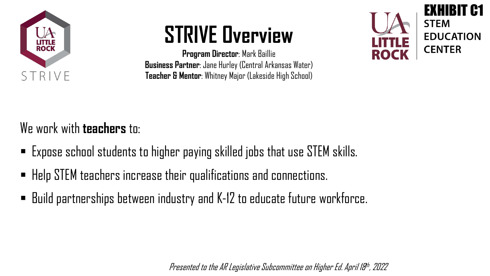

# **STRIVE Overview**

**Program Director**: Mark Baillie **Business Partner**: Jane Hurley (Central Arkansas Water) **Teacher & Mentor**: Whitney Major (Lakeside High School)



We work with **teachers** to:

- Expose school students to higher paying skilled jobs that use STEM skills.
- Help STEM teachers increase their qualifications and connections.
- Build partnerships between industry and K-12 to educate future workforce.

Presented to the AR Legislative Subcommittee on Higher Ed. April 18th, 2022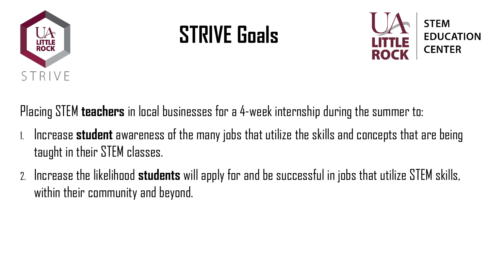

# **STRIVE Goals**



Placing STEM **teachers** in local businesses for a 4-week internship during the summer to:

- 1. Increase **student** awareness of the many jobs that utilize the skills and concepts that are being taught in their STEM classes.
- 2. Increase the likelihood **students** will apply for and be successful in jobs that utilize STEM skills, within their community and beyond.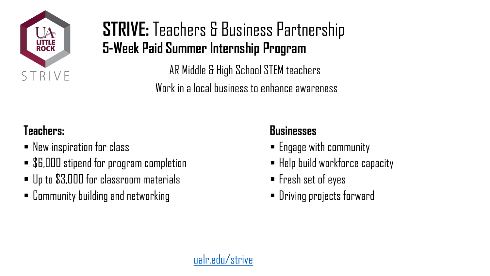

### **STRIVE:** Teachers & Business Partnership **5-Week Paid Summer Internship Program**

AR Middle & High School STEM teachers Work in a local business to enhance awareness

#### **Teachers:**

- New inspiration for class
- \$6,000 stipend for program completion
- Up to \$3,000 for classroom materials
- Community building and networking

#### **Businesses**

- Engage with community
- Help build workforce capacity
- Fresh set of eyes
- Driving projects forward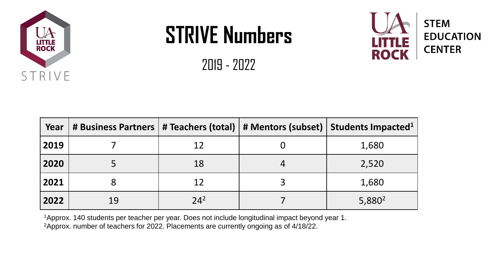

# **STRIVE Numbers**

2019 - 2022



1Approx. 140 students per teacher per year. Does not include longitudinal impact beyond year 1. 2Approx. number of teachers for 2022. Placements are currently ongoing as of 4/18/22.

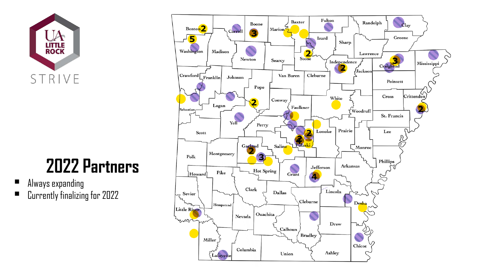

## **2022 Partners**

- Always expanding
- Currently finalizing for 2022

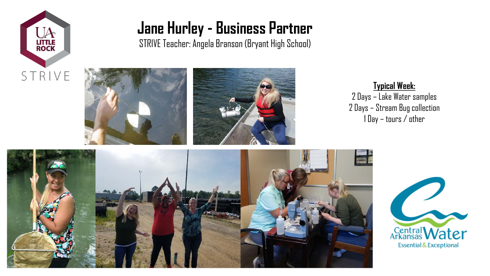

#### **Jane Hurley - Business Partner**

STRIVE Teacher: Angela Branson (Bryant High School)





**Typical Week:**  2 Days – Lake Water samples 2 Days – Stream Bug collection 1 Day – tours / other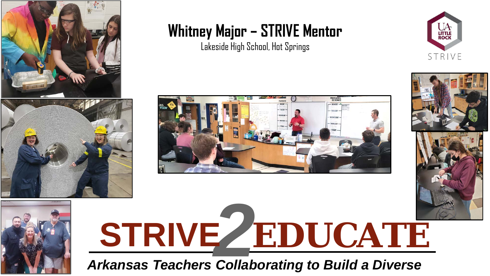



### **Whitney Major – STRIVE Mentor**

Lakeside High School, Hot Springs





# **STRIVE** *2***EDUCATE**

*Arkansas Teachers Collaborating to Build a Diverse* 

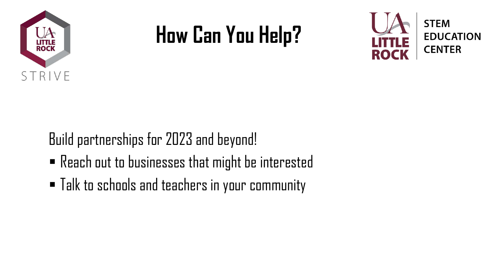

# **How Can You Help?**



Build partnerships for 2023 and beyond!

- Reach out to businesses that might be interested
- Talk to schools and teachers in your community